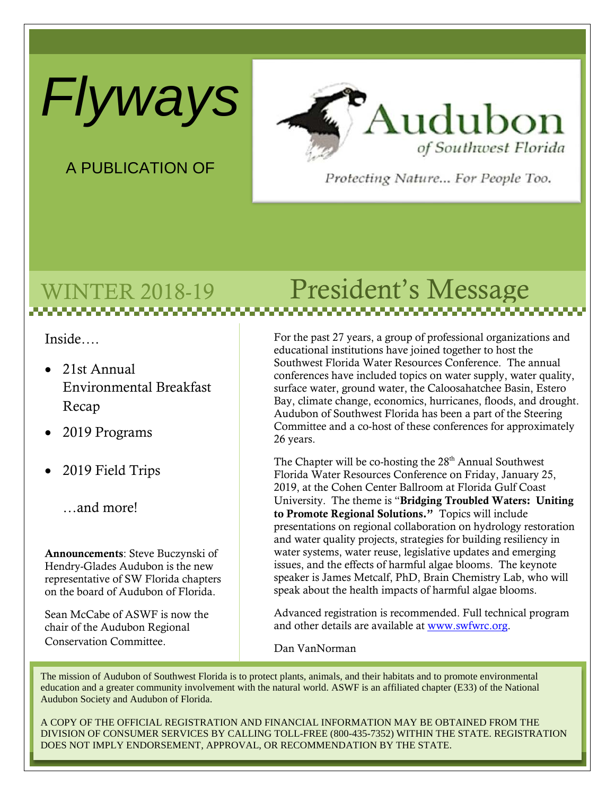*Flyways*



A PUBLICATION OF

Protecting Nature... For People Too.

# WINTER 2018-19 President's Message

Inside….

- 21st Annual Environmental Breakfast Recap
- 2019 Programs
- 2019 Field Trips

…and more!

Announcements: Steve Buczynski of Hendry-Glades Audubon is the new representative of SW Florida chapters on the board of Audubon of Florida.

Sean McCabe of ASWF is now the chair of the Audubon Regional Conservation Committee.

For the past 27 years, a group of professional organizations and educational institutions have joined together to host the Southwest Florida Water Resources Conference. The annual conferences have included topics on water supply, water quality, surface water, ground water, the Caloosahatchee Basin, Estero Bay, climate change, economics, hurricanes, floods, and drought. Audubon of Southwest Florida has been a part of the Steering Committee and a co-host of these conferences for approximately 26 years.

The Chapter will be co-hosting the 28<sup>th</sup> Annual Southwest Florida Water Resources Conference on Friday, January 25, 2019, at the Cohen Center Ballroom at Florida Gulf Coast University. The theme is "Bridging Troubled Waters: Uniting to Promote Regional Solutions." Topics will include presentations on regional collaboration on hydrology restoration and water quality projects, strategies for building resiliency in water systems, water reuse, legislative updates and emerging issues, and the effects of harmful algae blooms. The keynote speaker is James Metcalf, PhD, Brain Chemistry Lab, who will speak about the health impacts of harmful algae blooms.

Advanced registration is recommended. Full technical program and other details are available at [www.swfwrc.org.](http://www.swfwrc.org/)

Dan VanNorman

The mission of Audubon of Southwest Florida is to protect plants, animals, and their habitats and to promote environmental education and a greater community involvement with the natural world. ASWF is an affiliated chapter (E33) of the National Audubon Society and Audubon of Florida.

A COPY OF THE OFFICIAL REGISTRATION AND FINANCIAL INFORMATION MAY BE OBTAINED FROM THE DIVISION OF CONSUMER SERVICES BY CALLING TOLL-FREE (800-435-7352) WITHIN THE STATE. REGISTRATION DOES NOT IMPLY ENDORSEMENT, APPROVAL, OR RECOMMENDATION BY THE STATE.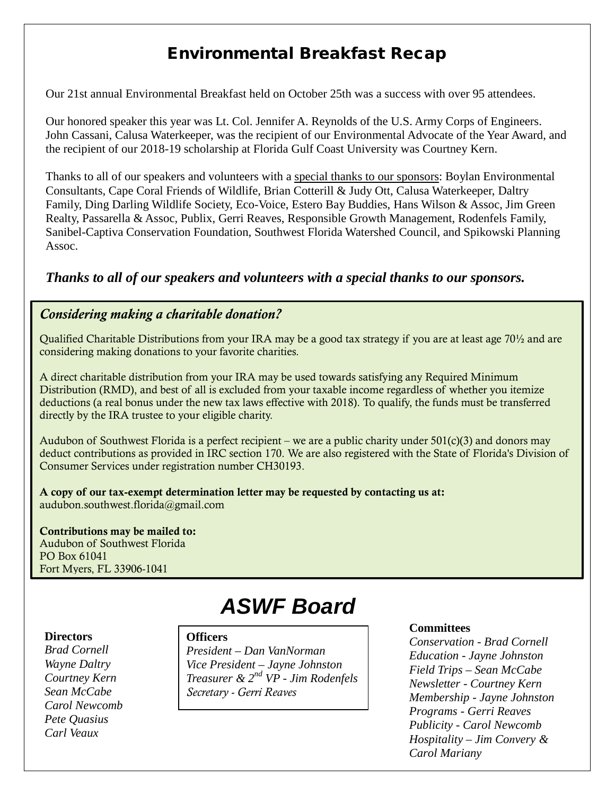## Environmental Breakfast Recap

Our 21st annual Environmental Breakfast held on October 25th was a success with over 95 attendees.

Our honored speaker this year was Lt. Col. Jennifer A. Reynolds of the U.S. Army Corps of Engineers. John Cassani, Calusa Waterkeeper, was the recipient of our Environmental Advocate of the Year Award, and the recipient of our 2018-19 scholarship at Florida Gulf Coast University was Courtney Kern.

Thanks to all of our speakers and volunteers with a special thanks to our sponsors: Boylan Environmental Consultants, Cape Coral Friends of Wildlife, Brian Cotterill & Judy Ott, Calusa Waterkeeper, Daltry Family, Ding Darling Wildlife Society, Eco-Voice, Estero Bay Buddies, Hans Wilson & Assoc, Jim Green Realty, Passarella & Assoc, Publix, Gerri Reaves, Responsible Growth Management, Rodenfels Family, Sanibel-Captiva Conservation Foundation, Southwest Florida Watershed Council, and Spikowski Planning Assoc.

### *Thanks to all of our speakers and volunteers with a special thanks to our sponsors.*

### *Considering making a charitable donation?*

Qualified Charitable Distributions from your IRA may be a good tax strategy if you are at least age 70½ and are considering making donations to your favorite charities.

A direct charitable distribution from your IRA may be used towards satisfying any Required Minimum Distribution (RMD), and best of all is excluded from your taxable income regardless of whether you itemize deductions (a real bonus under the new tax laws effective with 2018). To qualify, the funds must be transferred directly by the IRA trustee to your eligible charity.

Audubon of Southwest Florida is a perfect recipient – we are a public charity under  $501(c)(3)$  and donors may deduct contributions as provided in IRC section 170. We are also registered with the State of Florida's Division of Consumer Services under registration number CH30193.

A copy of our tax-exempt determination letter may be requested by contacting us at: audubon.southwest.florida@gmail.com

Contributions may be mailed to: Audubon of Southwest Florida PO Box 61041 Fort Myers, FL 33906-1041

# *ASWF Board*

#### **Directors**

*Brad Cornell Wayne Daltry Courtney Kern Sean McCabe Carol Newcomb Pete Quasius Carl Veaux* 

### **Officers**

*President – Dan VanNorman Vice President – Jayne Johnston Treasurer & 2nd VP - Jim Rodenfels Secretary - Gerri Reaves*

#### **Committees**

*Conservation - Brad Cornell Education - Jayne Johnston Field Trips – Sean McCabe Newsletter - Courtney Kern Membership - Jayne Johnston Programs - Gerri Reaves Publicity - Carol Newcomb Hospitality – Jim Convery & Carol Mariany*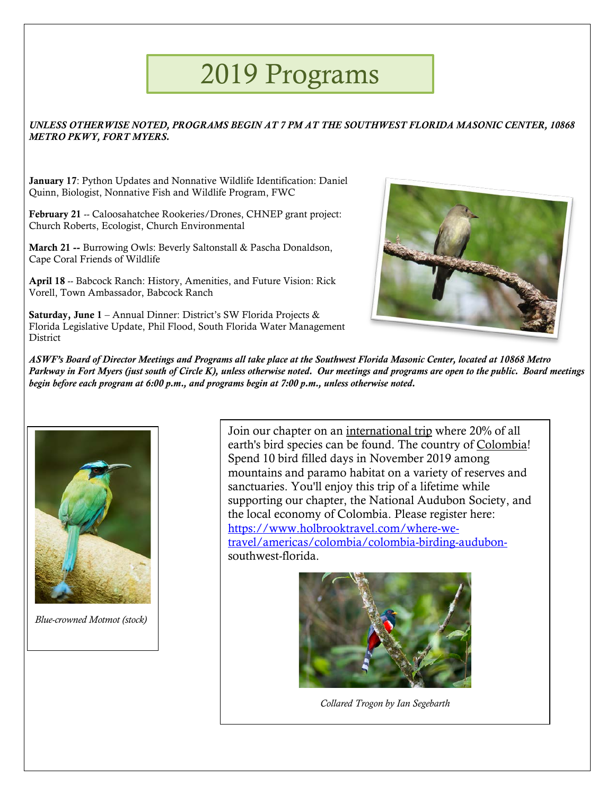# 2019 Programs

### *UNLESS OTHERWISE NOTED, PROGRAMS BEGIN AT 7 PM AT THE SOUTHWEST FLORIDA MASONIC CENTER, 10868 METRO PKWY, FORT MYERS.*

January 17: Python Updates and Nonnative Wildlife Identification: Daniel Quinn, Biologist, Nonnative Fish and Wildlife Program, FWC

February 21 -- Caloosahatchee Rookeries/Drones, CHNEP grant project: Church Roberts, Ecologist, Church Environmental

March 21 -- Burrowing Owls: Beverly Saltonstall & Pascha Donaldson, Cape Coral Friends of Wildlife

April 18 -- Babcock Ranch: History, Amenities, and Future Vision: Rick Vorell, Town Ambassador, Babcock Ranch

Saturday, June 1 – Annual Dinner: District's SW Florida Projects & Florida Legislative Update, Phil Flood, South Florida Water Management **District** 



*ASWF's Board of Director Meetings and Programs all take place at the Southwest Florida Masonic Center, located at 10868 Metro Parkway in Fort Myers (just south of Circle K), unless otherwise noted. Our meetings and programs are open to the public. Board meetings begin before each program at 6:00 p.m., and programs begin at 7:00 p.m., unless otherwise noted.*



*Blue-crowned Motmot (stock)*

Join our chapter on an international trip where 20% of all earth's bird species can be found. The country of Colombia! Spend 10 bird filled days in November 2019 among mountains and paramo habitat on a variety of reserves and sanctuaries. You'll enjoy this trip of a lifetime while supporting our chapter, the National Audubon Society, and the local economy of Colombia. Please register here: [https://www.holbrooktravel.com/where-we](https://www.holbrooktravel.com/where-we-travel/americas/colombia/colombia-birding-audubon-)[travel/americas/colombia/colombia-birding-audubon](https://www.holbrooktravel.com/where-we-travel/americas/colombia/colombia-birding-audubon-)southwest-florida.



*Collared Trogon by Ian Segebarth*